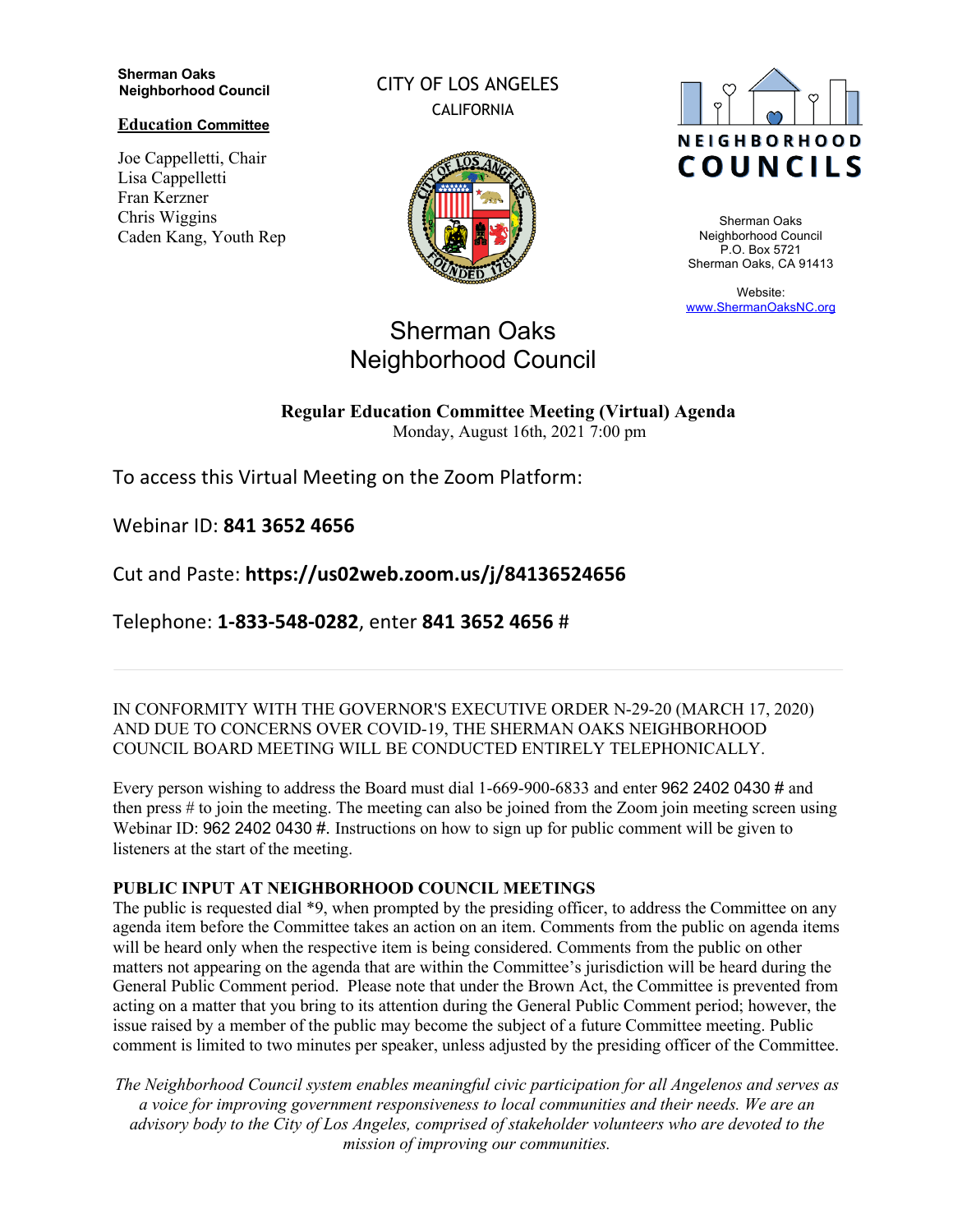**Sherman Oaks Neighborhood Council** 

**Education Committee**

Joe Cappelletti, Chair Lisa Cappelletti Fran Kerzner Chris Wiggins Caden Kang, Youth Rep CITY OF LOS ANGELES CALIFORNIA





Sherman Oaks Neighborhood Council P.O. Box 5721 Sherman Oaks, CA 91413

Website: www.ShermanOaksNC.org

# Sherman Oaks Neighborhood Council

#### **Regular Education Committee Meeting (Virtual) Agenda**  Monday, August 16th, 2021 7:00 pm

To access this Virtual Meeting on the Zoom Platform:

Webinar ID: **841 3652 4656** 

Cut and Paste: **https://us02web.zoom.us/j/84136524656** 

Telephone: **1-833-548-0282**, enter **841 3652 4656** #

IN CONFORMITY WITH THE GOVERNOR'S EXECUTIVE ORDER N-29-20 (MARCH 17, 2020) AND DUE TO CONCERNS OVER COVID-19, THE SHERMAN OAKS NEIGHBORHOOD COUNCIL BOARD MEETING WILL BE CONDUCTED ENTIRELY TELEPHONICALLY.

Every person wishing to address the Board must dial 1-669-900-6833 and enter 962 2402 0430 # and then press # to join the meeting. The meeting can also be joined from the Zoom join meeting screen using Webinar ID: 962 2402 0430 #. Instructions on how to sign up for public comment will be given to listeners at the start of the meeting.

## **PUBLIC INPUT AT NEIGHBORHOOD COUNCIL MEETINGS**

The public is requested dial \*9, when prompted by the presiding officer, to address the Committee on any agenda item before the Committee takes an action on an item. Comments from the public on agenda items will be heard only when the respective item is being considered. Comments from the public on other matters not appearing on the agenda that are within the Committee's jurisdiction will be heard during the General Public Comment period. Please note that under the Brown Act, the Committee is prevented from acting on a matter that you bring to its attention during the General Public Comment period; however, the issue raised by a member of the public may become the subject of a future Committee meeting. Public comment is limited to two minutes per speaker, unless adjusted by the presiding officer of the Committee.

*The Neighborhood Council system enables meaningful civic participation for all Angelenos and serves as a voice for improving government responsiveness to local communities and their needs. We are an advisory body to the City of Los Angeles, comprised of stakeholder volunteers who are devoted to the mission of improving our communities.*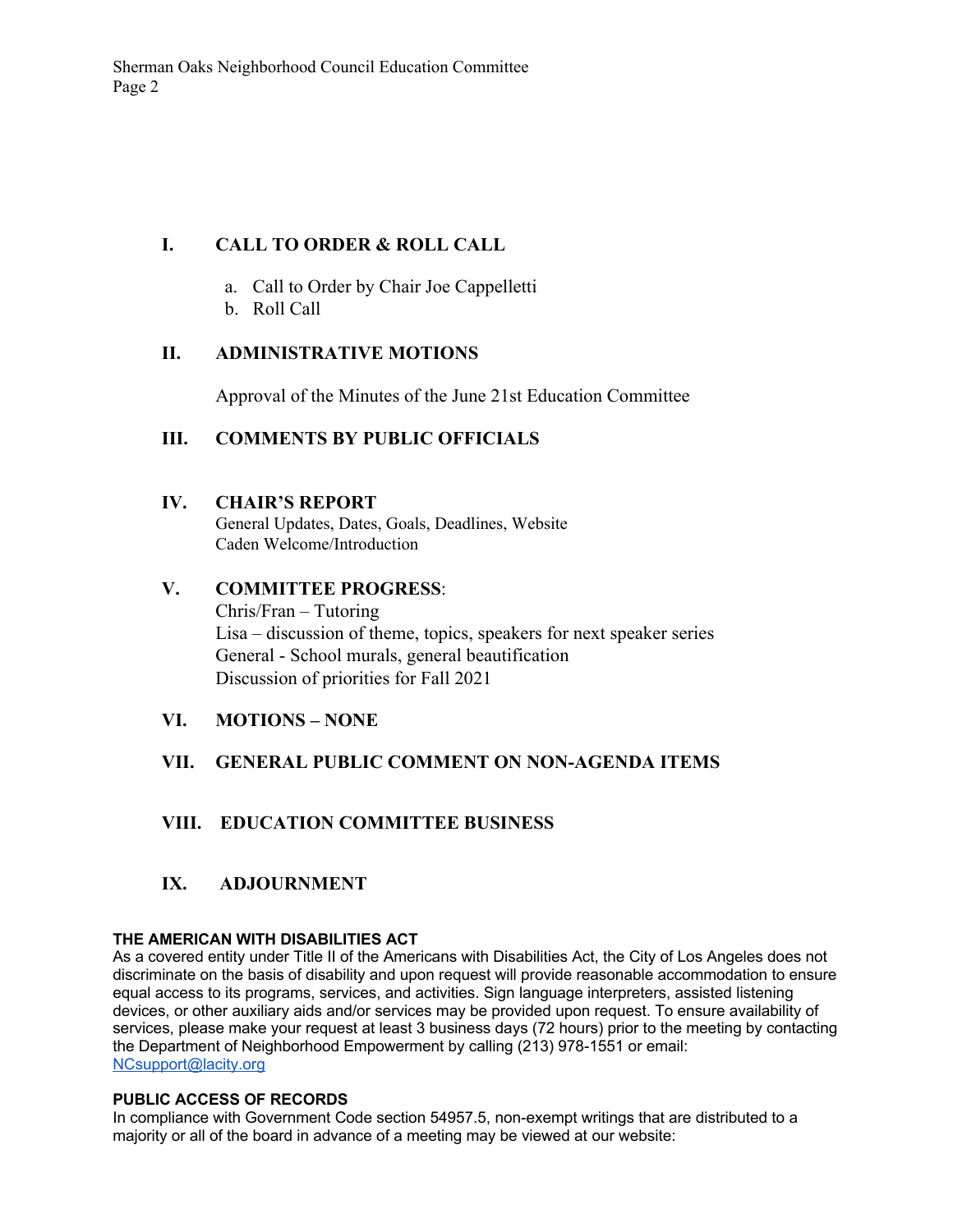# **I. CALL TO ORDER & ROLL CALL**

- a. Call to Order by Chair Joe Cappelletti
- b. Roll Call

## **II. ADMINISTRATIVE MOTIONS**

Approval of the Minutes of the June 21st Education Committee

# **III. COMMENTS BY PUBLIC OFFICIALS**

#### **IV. CHAIR'S REPORT**

General Updates, Dates, Goals, Deadlines, Website Caden Welcome/Introduction

## **V. COMMITTEE PROGRESS**:

Chris/Fran – Tutoring Lisa – discussion of theme, topics, speakers for next speaker series General - School murals, general beautification Discussion of priorities for Fall 2021

**VI. MOTIONS – NONE**

## **VII. GENERAL PUBLIC COMMENT ON NON-AGENDA ITEMS**

## **VIII. EDUCATION COMMITTEE BUSINESS**

## **IX. ADJOURNMENT**

#### **THE AMERICAN WITH DISABILITIES ACT**

As a covered entity under Title II of the Americans with Disabilities Act, the City of Los Angeles does not discriminate on the basis of disability and upon request will provide reasonable accommodation to ensure equal access to its programs, services, and activities. Sign language interpreters, assisted listening devices, or other auxiliary aids and/or services may be provided upon request. To ensure availability of services, please make your request at least 3 business days (72 hours) prior to the meeting by contacting the Department of Neighborhood Empowerment by calling (213) 978-1551 or email: NCsupport@lacity.org

#### **PUBLIC ACCESS OF RECORDS**

In compliance with Government Code section 54957.5, non-exempt writings that are distributed to a majority or all of the board in advance of a meeting may be viewed at our website: